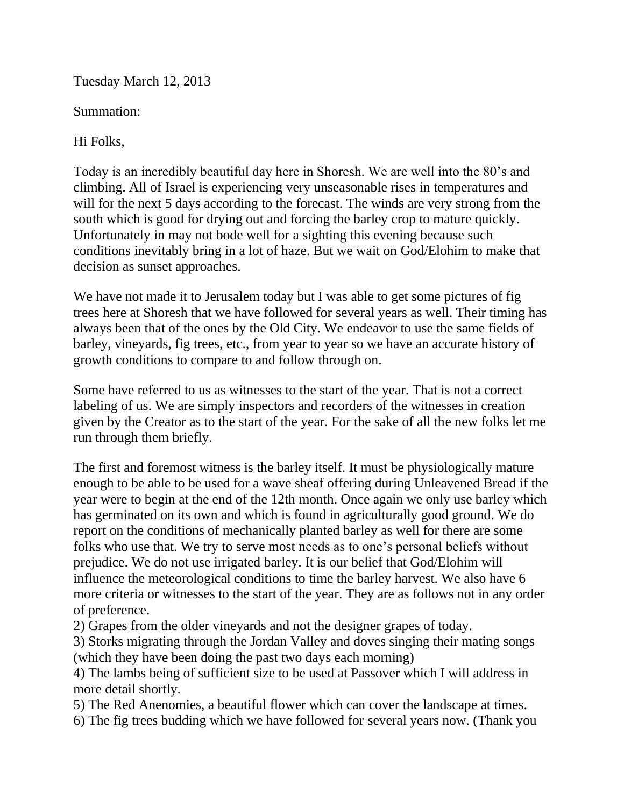Tuesday March 12, 2013

Summation:

Hi Folks,

Today is an incredibly beautiful day here in Shoresh. We are well into the 80's and climbing. All of Israel is experiencing very unseasonable rises in temperatures and will for the next 5 days according to the forecast. The winds are very strong from the south which is good for drying out and forcing the barley crop to mature quickly. Unfortunately in may not bode well for a sighting this evening because such conditions inevitably bring in a lot of haze. But we wait on God/Elohim to make that decision as sunset approaches.

We have not made it to Jerusalem today but I was able to get some pictures of fig. trees here at Shoresh that we have followed for several years as well. Their timing has always been that of the ones by the Old City. We endeavor to use the same fields of barley, vineyards, fig trees, etc., from year to year so we have an accurate history of growth conditions to compare to and follow through on.

Some have referred to us as witnesses to the start of the year. That is not a correct labeling of us. We are simply inspectors and recorders of the witnesses in creation given by the Creator as to the start of the year. For the sake of all the new folks let me run through them briefly.

The first and foremost witness is the barley itself. It must be physiologically mature enough to be able to be used for a wave sheaf offering during Unleavened Bread if the year were to begin at the end of the 12th month. Once again we only use barley which has germinated on its own and which is found in agriculturally good ground. We do report on the conditions of mechanically planted barley as well for there are some folks who use that. We try to serve most needs as to one's personal beliefs without prejudice. We do not use irrigated barley. It is our belief that God/Elohim will influence the meteorological conditions to time the barley harvest. We also have 6 more criteria or witnesses to the start of the year. They are as follows not in any order of preference.

2) Grapes from the older vineyards and not the designer grapes of today.

3) Storks migrating through the Jordan Valley and doves singing their mating songs (which they have been doing the past two days each morning)

4) The lambs being of sufficient size to be used at Passover which I will address in more detail shortly.

5) The Red Anenomies, a beautiful flower which can cover the landscape at times.

6) The fig trees budding which we have followed for several years now. (Thank you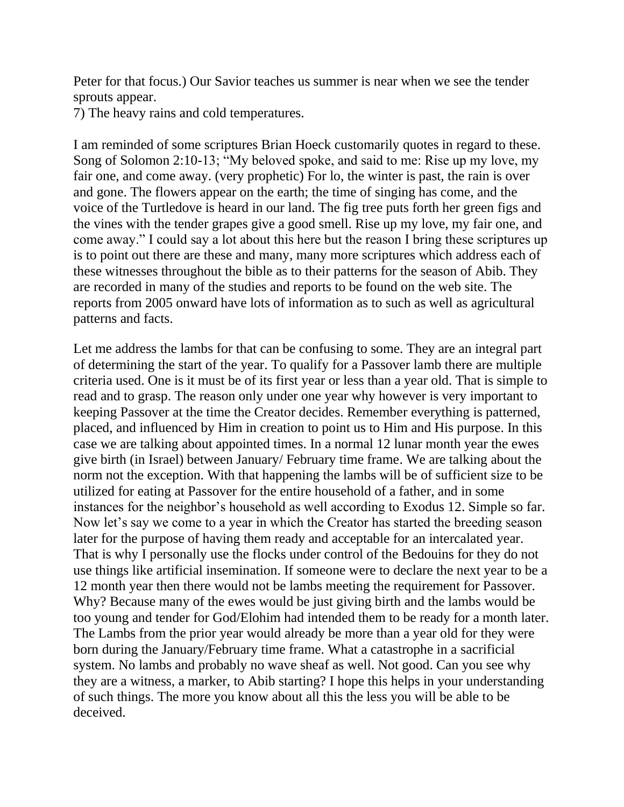Peter for that focus.) Our Savior teaches us summer is near when we see the tender sprouts appear.

7) The heavy rains and cold temperatures.

I am reminded of some scriptures Brian Hoeck customarily quotes in regard to these. Song of Solomon 2:10-13; "My beloved spoke, and said to me: Rise up my love, my fair one, and come away. (very prophetic) For lo, the winter is past, the rain is over and gone. The flowers appear on the earth; the time of singing has come, and the voice of the Turtledove is heard in our land. The fig tree puts forth her green figs and the vines with the tender grapes give a good smell. Rise up my love, my fair one, and come away." I could say a lot about this here but the reason I bring these scriptures up is to point out there are these and many, many more scriptures which address each of these witnesses throughout the bible as to their patterns for the season of Abib. They are recorded in many of the studies and reports to be found on the web site. The reports from 2005 onward have lots of information as to such as well as agricultural patterns and facts.

Let me address the lambs for that can be confusing to some. They are an integral part of determining the start of the year. To qualify for a Passover lamb there are multiple criteria used. One is it must be of its first year or less than a year old. That is simple to read and to grasp. The reason only under one year why however is very important to keeping Passover at the time the Creator decides. Remember everything is patterned, placed, and influenced by Him in creation to point us to Him and His purpose. In this case we are talking about appointed times. In a normal 12 lunar month year the ewes give birth (in Israel) between January/ February time frame. We are talking about the norm not the exception. With that happening the lambs will be of sufficient size to be utilized for eating at Passover for the entire household of a father, and in some instances for the neighbor's household as well according to Exodus 12. Simple so far. Now let's say we come to a year in which the Creator has started the breeding season later for the purpose of having them ready and acceptable for an intercalated year. That is why I personally use the flocks under control of the Bedouins for they do not use things like artificial insemination. If someone were to declare the next year to be a 12 month year then there would not be lambs meeting the requirement for Passover. Why? Because many of the ewes would be just giving birth and the lambs would be too young and tender for God/Elohim had intended them to be ready for a month later. The Lambs from the prior year would already be more than a year old for they were born during the January/February time frame. What a catastrophe in a sacrificial system. No lambs and probably no wave sheaf as well. Not good. Can you see why they are a witness, a marker, to Abib starting? I hope this helps in your understanding of such things. The more you know about all this the less you will be able to be deceived.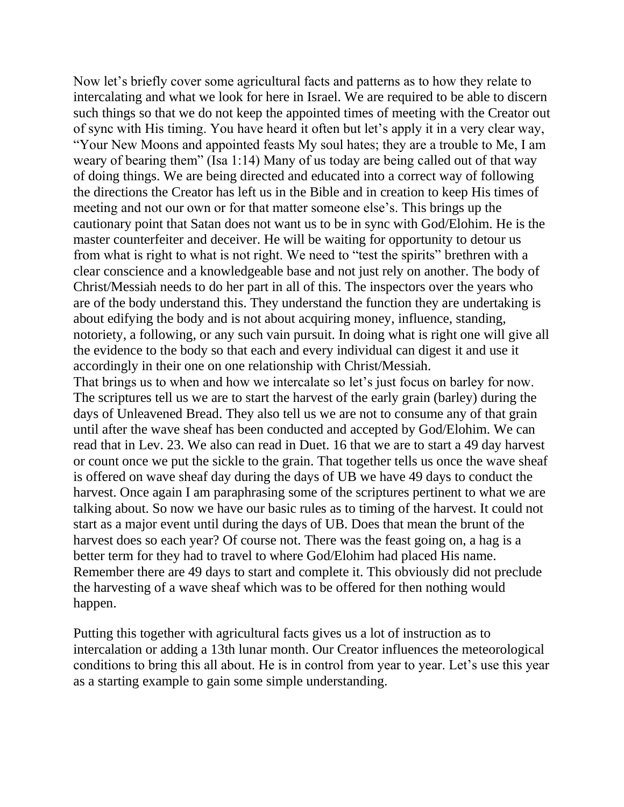Now let's briefly cover some agricultural facts and patterns as to how they relate to intercalating and what we look for here in Israel. We are required to be able to discern such things so that we do not keep the appointed times of meeting with the Creator out of sync with His timing. You have heard it often but let's apply it in a very clear way, "Your New Moons and appointed feasts My soul hates; they are a trouble to Me, I am weary of bearing them" (Isa 1:14) Many of us today are being called out of that way of doing things. We are being directed and educated into a correct way of following the directions the Creator has left us in the Bible and in creation to keep His times of meeting and not our own or for that matter someone else's. This brings up the cautionary point that Satan does not want us to be in sync with God/Elohim. He is the master counterfeiter and deceiver. He will be waiting for opportunity to detour us from what is right to what is not right. We need to "test the spirits" brethren with a clear conscience and a knowledgeable base and not just rely on another. The body of Christ/Messiah needs to do her part in all of this. The inspectors over the years who are of the body understand this. They understand the function they are undertaking is about edifying the body and is not about acquiring money, influence, standing, notoriety, a following, or any such vain pursuit. In doing what is right one will give all the evidence to the body so that each and every individual can digest it and use it accordingly in their one on one relationship with Christ/Messiah.

That brings us to when and how we intercalate so let's just focus on barley for now. The scriptures tell us we are to start the harvest of the early grain (barley) during the days of Unleavened Bread. They also tell us we are not to consume any of that grain until after the wave sheaf has been conducted and accepted by God/Elohim. We can read that in Lev. 23. We also can read in Duet. 16 that we are to start a 49 day harvest or count once we put the sickle to the grain. That together tells us once the wave sheaf is offered on wave sheaf day during the days of UB we have 49 days to conduct the harvest. Once again I am paraphrasing some of the scriptures pertinent to what we are talking about. So now we have our basic rules as to timing of the harvest. It could not start as a major event until during the days of UB. Does that mean the brunt of the harvest does so each year? Of course not. There was the feast going on, a hag is a better term for they had to travel to where God/Elohim had placed His name. Remember there are 49 days to start and complete it. This obviously did not preclude the harvesting of a wave sheaf which was to be offered for then nothing would happen.

Putting this together with agricultural facts gives us a lot of instruction as to intercalation or adding a 13th lunar month. Our Creator influences the meteorological conditions to bring this all about. He is in control from year to year. Let's use this year as a starting example to gain some simple understanding.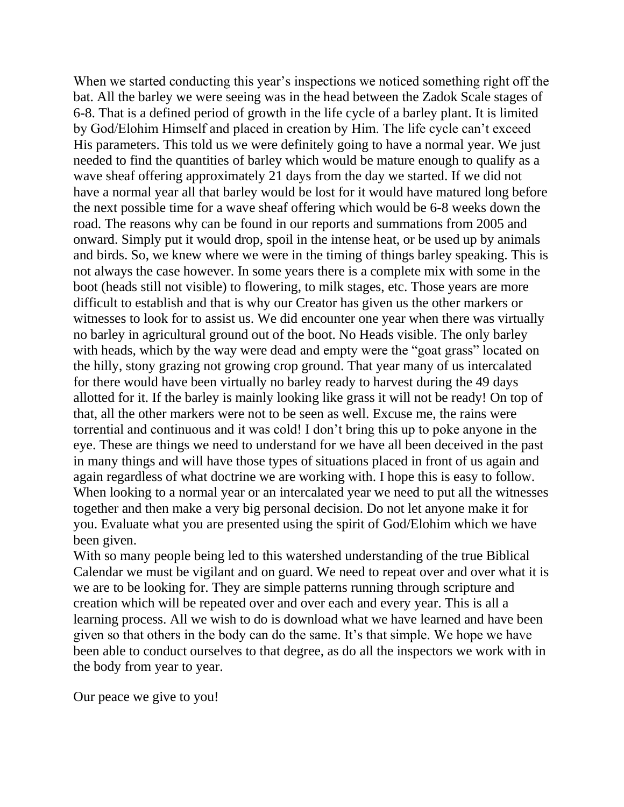When we started conducting this year's inspections we noticed something right off the bat. All the barley we were seeing was in the head between the Zadok Scale stages of 6-8. That is a defined period of growth in the life cycle of a barley plant. It is limited by God/Elohim Himself and placed in creation by Him. The life cycle can't exceed His parameters. This told us we were definitely going to have a normal year. We just needed to find the quantities of barley which would be mature enough to qualify as a wave sheaf offering approximately 21 days from the day we started. If we did not have a normal year all that barley would be lost for it would have matured long before the next possible time for a wave sheaf offering which would be 6-8 weeks down the road. The reasons why can be found in our reports and summations from 2005 and onward. Simply put it would drop, spoil in the intense heat, or be used up by animals and birds. So, we knew where we were in the timing of things barley speaking. This is not always the case however. In some years there is a complete mix with some in the boot (heads still not visible) to flowering, to milk stages, etc. Those years are more difficult to establish and that is why our Creator has given us the other markers or witnesses to look for to assist us. We did encounter one year when there was virtually no barley in agricultural ground out of the boot. No Heads visible. The only barley with heads, which by the way were dead and empty were the "goat grass" located on the hilly, stony grazing not growing crop ground. That year many of us intercalated for there would have been virtually no barley ready to harvest during the 49 days allotted for it. If the barley is mainly looking like grass it will not be ready! On top of that, all the other markers were not to be seen as well. Excuse me, the rains were torrential and continuous and it was cold! I don't bring this up to poke anyone in the eye. These are things we need to understand for we have all been deceived in the past in many things and will have those types of situations placed in front of us again and again regardless of what doctrine we are working with. I hope this is easy to follow. When looking to a normal year or an intercalated year we need to put all the witnesses together and then make a very big personal decision. Do not let anyone make it for you. Evaluate what you are presented using the spirit of God/Elohim which we have been given.

With so many people being led to this watershed understanding of the true Biblical Calendar we must be vigilant and on guard. We need to repeat over and over what it is we are to be looking for. They are simple patterns running through scripture and creation which will be repeated over and over each and every year. This is all a learning process. All we wish to do is download what we have learned and have been given so that others in the body can do the same. It's that simple. We hope we have been able to conduct ourselves to that degree, as do all the inspectors we work with in the body from year to year.

Our peace we give to you!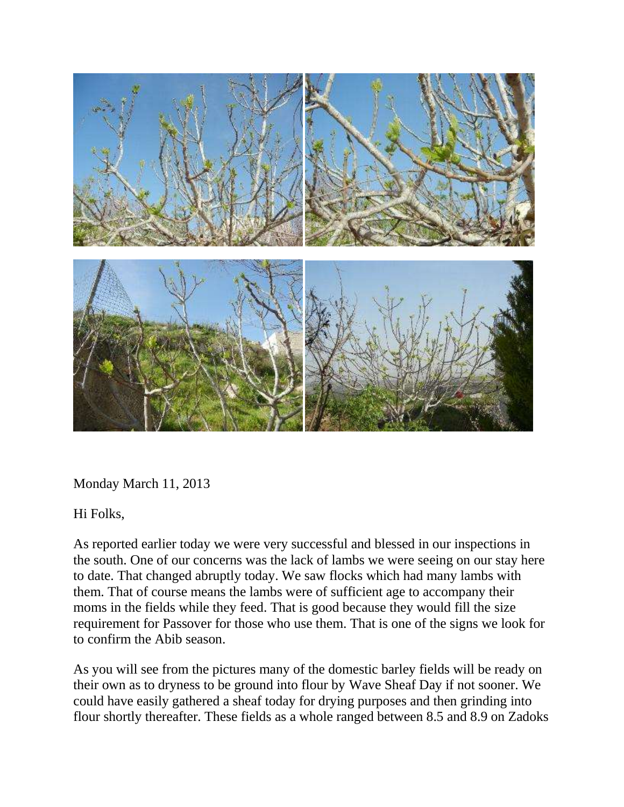

Monday March 11, 2013

Hi Folks,

As reported earlier today we were very successful and blessed in our inspections in the south. One of our concerns was the lack of lambs we were seeing on our stay here to date. That changed abruptly today. We saw flocks which had many lambs with them. That of course means the lambs were of sufficient age to accompany their moms in the fields while they feed. That is good because they would fill the size requirement for Passover for those who use them. That is one of the signs we look for to confirm the Abib season.

As you will see from the pictures many of the domestic barley fields will be ready on their own as to dryness to be ground into flour by Wave Sheaf Day if not sooner. We could have easily gathered a sheaf today for drying purposes and then grinding into flour shortly thereafter. These fields as a whole ranged between 8.5 and 8.9 on Zadoks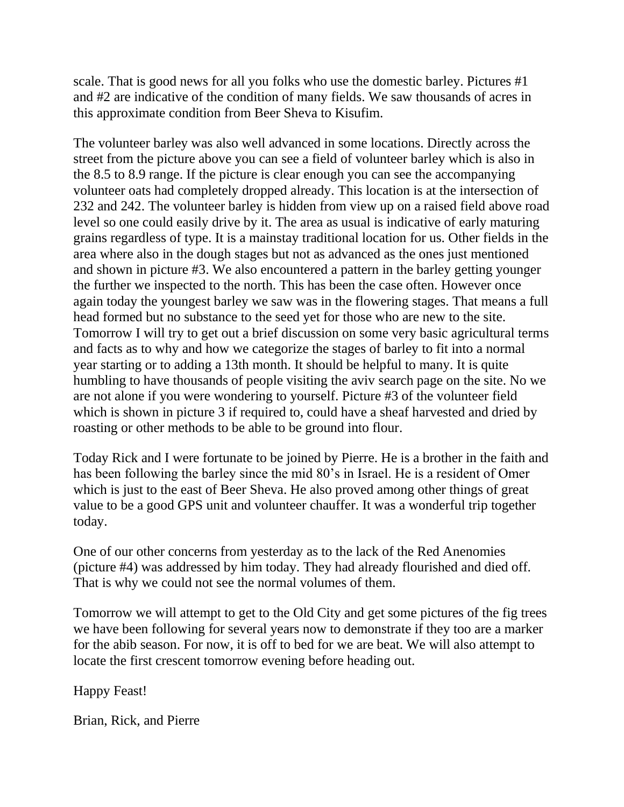scale. That is good news for all you folks who use the domestic barley. Pictures #1 and #2 are indicative of the condition of many fields. We saw thousands of acres in this approximate condition from Beer Sheva to Kisufim.

The volunteer barley was also well advanced in some locations. Directly across the street from the picture above you can see a field of volunteer barley which is also in the 8.5 to 8.9 range. If the picture is clear enough you can see the accompanying volunteer oats had completely dropped already. This location is at the intersection of 232 and 242. The volunteer barley is hidden from view up on a raised field above road level so one could easily drive by it. The area as usual is indicative of early maturing grains regardless of type. It is a mainstay traditional location for us. Other fields in the area where also in the dough stages but not as advanced as the ones just mentioned and shown in picture #3. We also encountered a pattern in the barley getting younger the further we inspected to the north. This has been the case often. However once again today the youngest barley we saw was in the flowering stages. That means a full head formed but no substance to the seed yet for those who are new to the site. Tomorrow I will try to get out a brief discussion on some very basic agricultural terms and facts as to why and how we categorize the stages of barley to fit into a normal year starting or to adding a 13th month. It should be helpful to many. It is quite humbling to have thousands of people visiting the aviv search page on the site. No we are not alone if you were wondering to yourself. Picture #3 of the volunteer field which is shown in picture 3 if required to, could have a sheaf harvested and dried by roasting or other methods to be able to be ground into flour.

Today Rick and I were fortunate to be joined by Pierre. He is a brother in the faith and has been following the barley since the mid 80's in Israel. He is a resident of Omer which is just to the east of Beer Sheva. He also proved among other things of great value to be a good GPS unit and volunteer chauffer. It was a wonderful trip together today.

One of our other concerns from yesterday as to the lack of the Red Anenomies (picture #4) was addressed by him today. They had already flourished and died off. That is why we could not see the normal volumes of them.

Tomorrow we will attempt to get to the Old City and get some pictures of the fig trees we have been following for several years now to demonstrate if they too are a marker for the abib season. For now, it is off to bed for we are beat. We will also attempt to locate the first crescent tomorrow evening before heading out.

Happy Feast!

Brian, Rick, and Pierre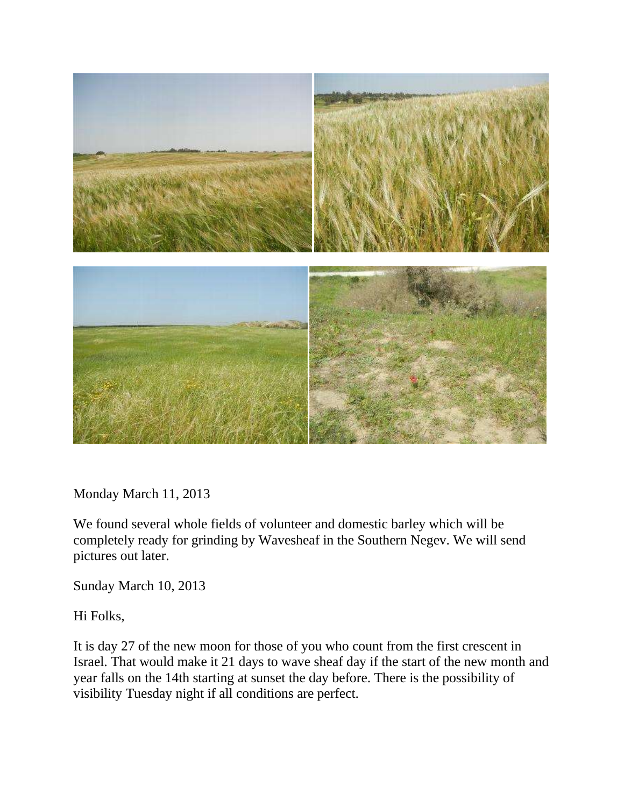

Monday March 11, 2013

We found several whole fields of volunteer and domestic barley which will be completely ready for grinding by Wavesheaf in the Southern Negev. We will send pictures out later.

Sunday March 10, 2013

Hi Folks,

It is day 27 of the new moon for those of you who count from the first crescent in Israel. That would make it 21 days to wave sheaf day if the start of the new month and year falls on the 14th starting at sunset the day before. There is the possibility of visibility Tuesday night if all conditions are perfect.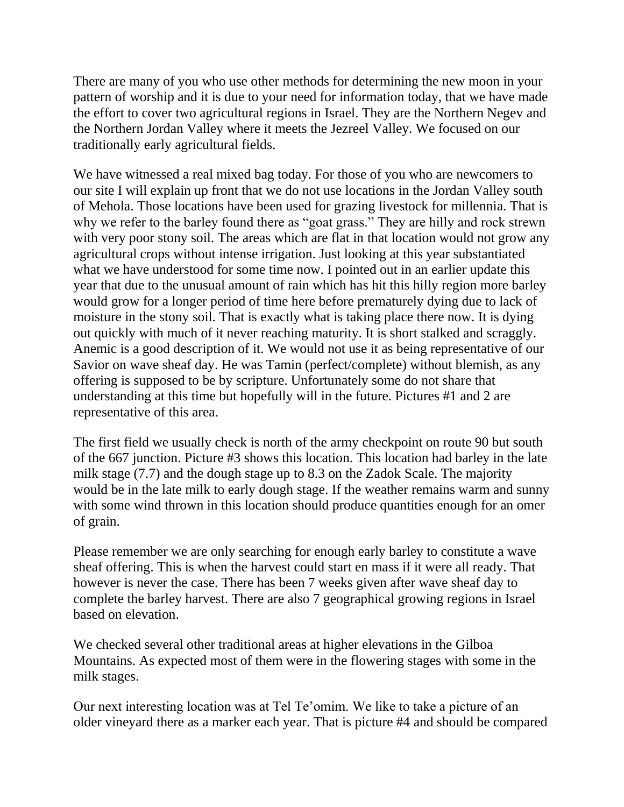There are many of you who use other methods for determining the new moon in your pattern of worship and it is due to your need for information today, that we have made the effort to cover two agricultural regions in Israel. They are the Northern Negev and the Northern Jordan Valley where it meets the Jezreel Valley. We focused on our traditionally early agricultural fields.

We have witnessed a real mixed bag today. For those of you who are newcomers to our site I will explain up front that we do not use locations in the Jordan Valley south of Mehola. Those locations have been used for grazing livestock for millennia. That is why we refer to the barley found there as "goat grass." They are hilly and rock strewn with very poor stony soil. The areas which are flat in that location would not grow any agricultural crops without intense irrigation. Just looking at this year substantiated what we have understood for some time now. I pointed out in an earlier update this year that due to the unusual amount of rain which has hit this hilly region more barley would grow for a longer period of time here before prematurely dying due to lack of moisture in the stony soil. That is exactly what is taking place there now. It is dying out quickly with much of it never reaching maturity. It is short stalked and scraggly. Anemic is a good description of it. We would not use it as being representative of our Savior on wave sheaf day. He was Tamin (perfect/complete) without blemish, as any offering is supposed to be by scripture. Unfortunately some do not share that understanding at this time but hopefully will in the future. Pictures #1 and 2 are representative of this area.

The first field we usually check is north of the army checkpoint on route 90 but south of the 667 junction. Picture #3 shows this location. This location had barley in the late milk stage (7.7) and the dough stage up to 8.3 on the Zadok Scale. The majority would be in the late milk to early dough stage. If the weather remains warm and sunny with some wind thrown in this location should produce quantities enough for an omer of grain.

Please remember we are only searching for enough early barley to constitute a wave sheaf offering. This is when the harvest could start en mass if it were all ready. That however is never the case. There has been 7 weeks given after wave sheaf day to complete the barley harvest. There are also 7 geographical growing regions in Israel based on elevation.

We checked several other traditional areas at higher elevations in the Gilboa Mountains. As expected most of them were in the flowering stages with some in the milk stages.

Our next interesting location was at Tel Te'omim. We like to take a picture of an older vineyard there as a marker each year. That is picture #4 and should be compared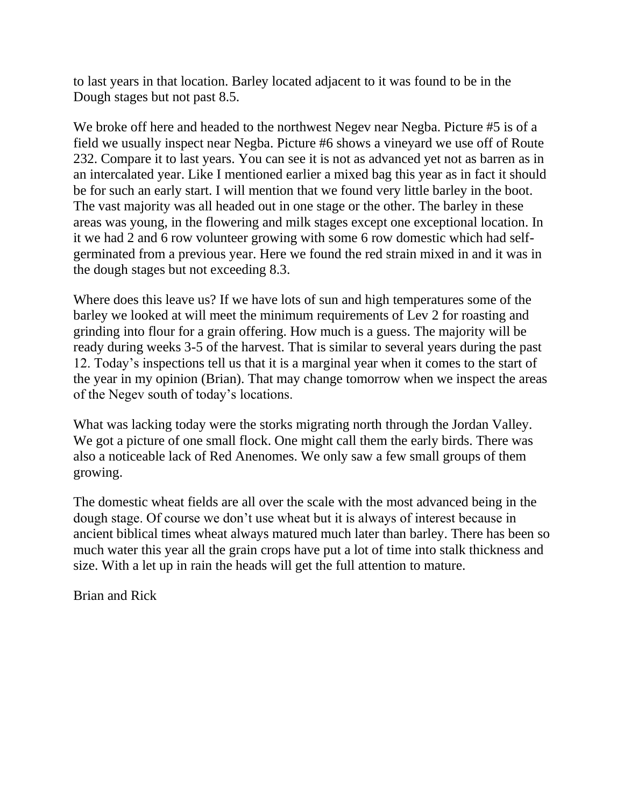to last years in that location. Barley located adjacent to it was found to be in the Dough stages but not past 8.5.

We broke off here and headed to the northwest Negev near Negba. Picture #5 is of a field we usually inspect near Negba. Picture #6 shows a vineyard we use off of Route 232. Compare it to last years. You can see it is not as advanced yet not as barren as in an intercalated year. Like I mentioned earlier a mixed bag this year as in fact it should be for such an early start. I will mention that we found very little barley in the boot. The vast majority was all headed out in one stage or the other. The barley in these areas was young, in the flowering and milk stages except one exceptional location. In it we had 2 and 6 row volunteer growing with some 6 row domestic which had selfgerminated from a previous year. Here we found the red strain mixed in and it was in the dough stages but not exceeding 8.3.

Where does this leave us? If we have lots of sun and high temperatures some of the barley we looked at will meet the minimum requirements of Lev 2 for roasting and grinding into flour for a grain offering. How much is a guess. The majority will be ready during weeks 3-5 of the harvest. That is similar to several years during the past 12. Today's inspections tell us that it is a marginal year when it comes to the start of the year in my opinion (Brian). That may change tomorrow when we inspect the areas of the Negev south of today's locations.

What was lacking today were the storks migrating north through the Jordan Valley. We got a picture of one small flock. One might call them the early birds. There was also a noticeable lack of Red Anenomes. We only saw a few small groups of them growing.

The domestic wheat fields are all over the scale with the most advanced being in the dough stage. Of course we don't use wheat but it is always of interest because in ancient biblical times wheat always matured much later than barley. There has been so much water this year all the grain crops have put a lot of time into stalk thickness and size. With a let up in rain the heads will get the full attention to mature.

Brian and Rick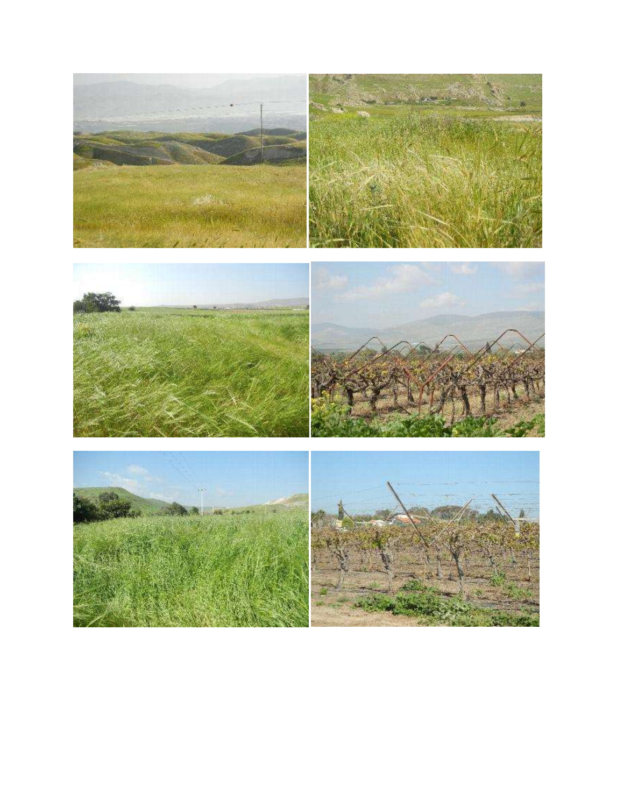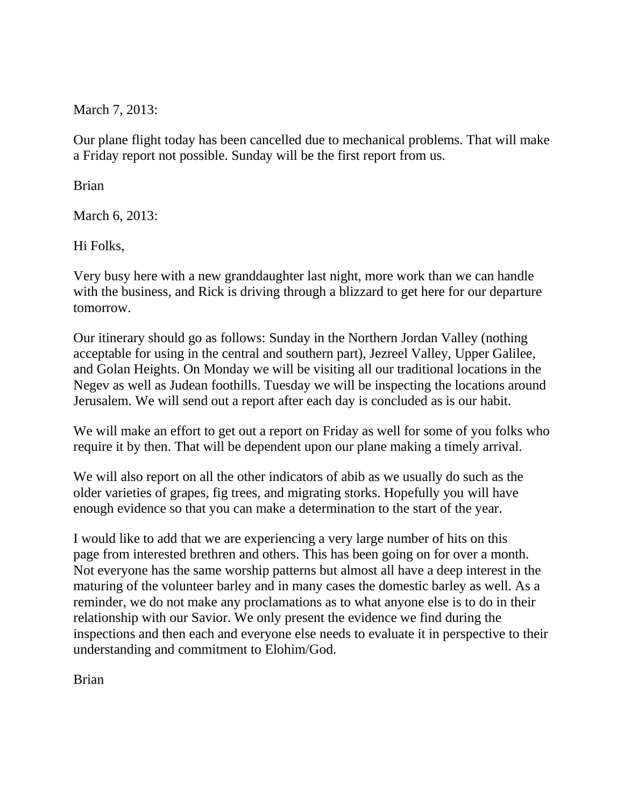March 7, 2013:

Our plane flight today has been cancelled due to mechanical problems. That will make a Friday report not possible. Sunday will be the first report from us.

Brian

March 6, 2013:

Hi Folks,

Very busy here with a new granddaughter last night, more work than we can handle with the business, and Rick is driving through a blizzard to get here for our departure tomorrow.

Our itinerary should go as follows: Sunday in the Northern Jordan Valley (nothing acceptable for using in the central and southern part), Jezreel Valley, Upper Galilee, and Golan Heights. On Monday we will be visiting all our traditional locations in the Negev as well as Judean foothills. Tuesday we will be inspecting the locations around Jerusalem. We will send out a report after each day is concluded as is our habit.

We will make an effort to get out a report on Friday as well for some of you folks who require it by then. That will be dependent upon our plane making a timely arrival.

We will also report on all the other indicators of abib as we usually do such as the older varieties of grapes, fig trees, and migrating storks. Hopefully you will have enough evidence so that you can make a determination to the start of the year.

I would like to add that we are experiencing a very large number of hits on this page from interested brethren and others. This has been going on for over a month. Not everyone has the same worship patterns but almost all have a deep interest in the maturing of the volunteer barley and in many cases the domestic barley as well. As a reminder, we do not make any proclamations as to what anyone else is to do in their relationship with our Savior. We only present the evidence we find during the inspections and then each and everyone else needs to evaluate it in perspective to their understanding and commitment to Elohim/God.

Brian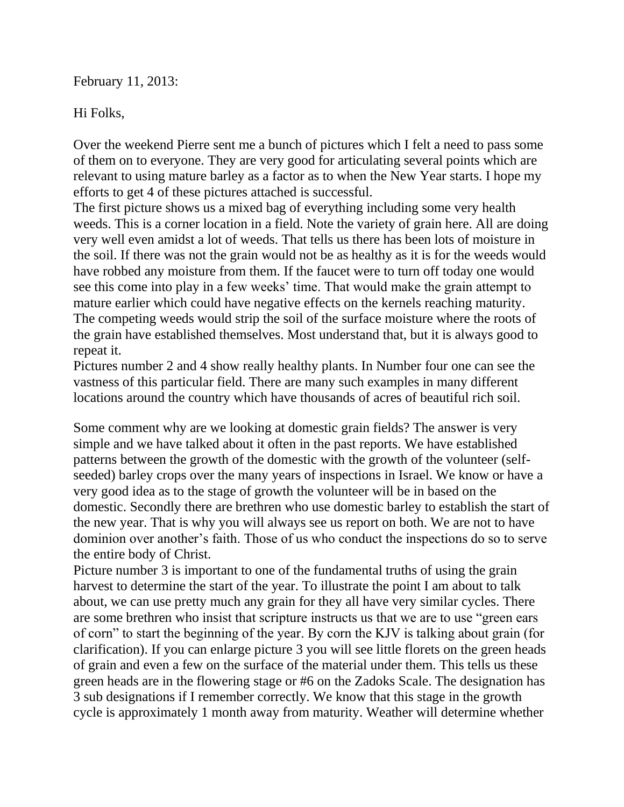February 11, 2013:

Hi Folks,

Over the weekend Pierre sent me a bunch of pictures which I felt a need to pass some of them on to everyone. They are very good for articulating several points which are relevant to using mature barley as a factor as to when the New Year starts. I hope my efforts to get 4 of these pictures attached is successful.

The first picture shows us a mixed bag of everything including some very health weeds. This is a corner location in a field. Note the variety of grain here. All are doing very well even amidst a lot of weeds. That tells us there has been lots of moisture in the soil. If there was not the grain would not be as healthy as it is for the weeds would have robbed any moisture from them. If the faucet were to turn off today one would see this come into play in a few weeks' time. That would make the grain attempt to mature earlier which could have negative effects on the kernels reaching maturity. The competing weeds would strip the soil of the surface moisture where the roots of the grain have established themselves. Most understand that, but it is always good to repeat it.

Pictures number 2 and 4 show really healthy plants. In Number four one can see the vastness of this particular field. There are many such examples in many different locations around the country which have thousands of acres of beautiful rich soil.

Some comment why are we looking at domestic grain fields? The answer is very simple and we have talked about it often in the past reports. We have established patterns between the growth of the domestic with the growth of the volunteer (selfseeded) barley crops over the many years of inspections in Israel. We know or have a very good idea as to the stage of growth the volunteer will be in based on the domestic. Secondly there are brethren who use domestic barley to establish the start of the new year. That is why you will always see us report on both. We are not to have dominion over another's faith. Those of us who conduct the inspections do so to serve the entire body of Christ.

Picture number 3 is important to one of the fundamental truths of using the grain harvest to determine the start of the year. To illustrate the point I am about to talk about, we can use pretty much any grain for they all have very similar cycles. There are some brethren who insist that scripture instructs us that we are to use "green ears of corn" to start the beginning of the year. By corn the KJV is talking about grain (for clarification). If you can enlarge picture 3 you will see little florets on the green heads of grain and even a few on the surface of the material under them. This tells us these green heads are in the flowering stage or #6 on the Zadoks Scale. The designation has 3 sub designations if I remember correctly. We know that this stage in the growth cycle is approximately 1 month away from maturity. Weather will determine whether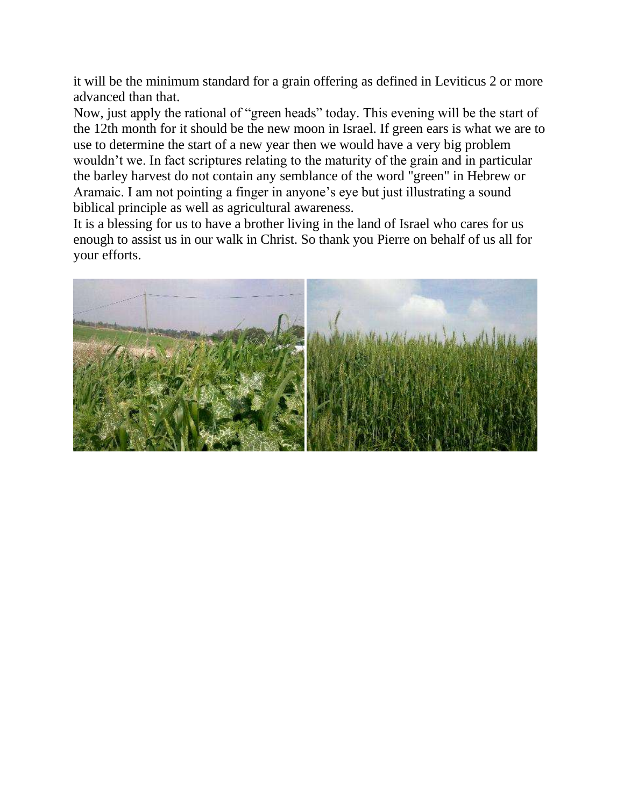it will be the minimum standard for a grain offering as defined in Leviticus 2 or more advanced than that.

Now, just apply the rational of "green heads" today. This evening will be the start of the 12th month for it should be the new moon in Israel. If green ears is what we are to use to determine the start of a new year then we would have a very big problem wouldn't we. In fact scriptures relating to the maturity of the grain and in particular the barley harvest do not contain any semblance of the word "green" in Hebrew or Aramaic. I am not pointing a finger in anyone's eye but just illustrating a sound biblical principle as well as agricultural awareness.

It is a blessing for us to have a brother living in the land of Israel who cares for us enough to assist us in our walk in Christ. So thank you Pierre on behalf of us all for your efforts.

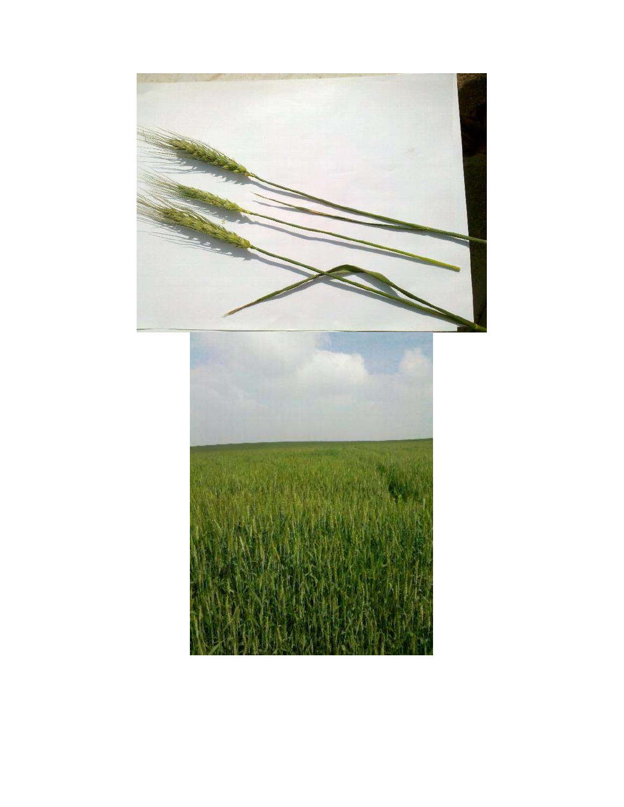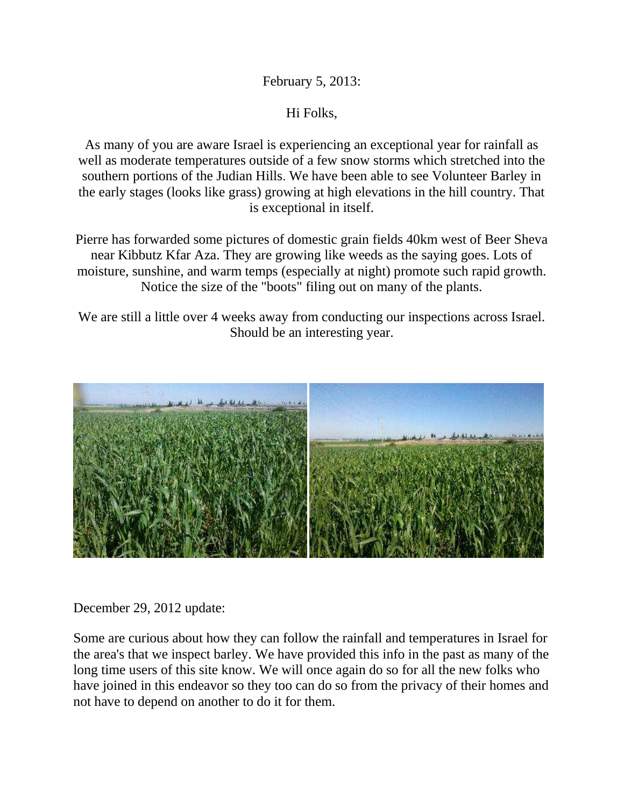February 5, 2013:

Hi Folks,

As many of you are aware Israel is experiencing an exceptional year for rainfall as well as moderate temperatures outside of a few snow storms which stretched into the southern portions of the Judian Hills. We have been able to see Volunteer Barley in the early stages (looks like grass) growing at high elevations in the hill country. That is exceptional in itself.

Pierre has forwarded some pictures of domestic grain fields 40km west of Beer Sheva near Kibbutz Kfar Aza. They are growing like weeds as the saying goes. Lots of moisture, sunshine, and warm temps (especially at night) promote such rapid growth. Notice the size of the "boots" filing out on many of the plants.

We are still a little over 4 weeks away from conducting our inspections across Israel. Should be an interesting year.



December 29, 2012 update:

Some are curious about how they can follow the rainfall and temperatures in Israel for the area's that we inspect barley. We have provided this info in the past as many of the long time users of this site know. We will once again do so for all the new folks who have joined in this endeavor so they too can do so from the privacy of their homes and not have to depend on another to do it for them.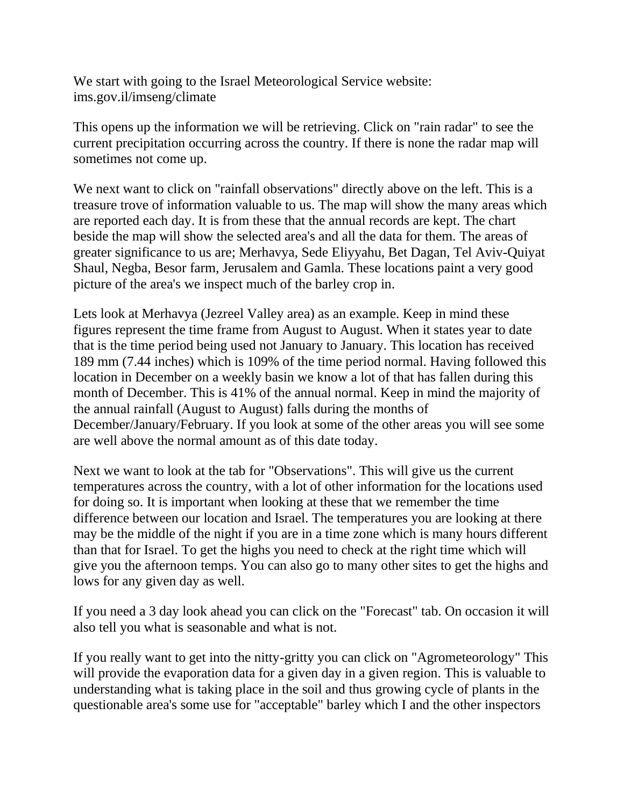We start with going to the Israel Meteorological Service website: ims.gov.il/imseng/climate

This opens up the information we will be retrieving. Click on "rain radar" to see the current precipitation occurring across the country. If there is none the radar map will sometimes not come up.

We next want to click on "rainfall observations" directly above on the left. This is a treasure trove of information valuable to us. The map will show the many areas which are reported each day. It is from these that the annual records are kept. The chart beside the map will show the selected area's and all the data for them. The areas of greater significance to us are; Merhavya, Sede Eliyyahu, Bet Dagan, Tel Aviv-Quiyat Shaul, Negba, Besor farm, Jerusalem and Gamla. These locations paint a very good picture of the area's we inspect much of the barley crop in.

Lets look at Merhavya (Jezreel Valley area) as an example. Keep in mind these figures represent the time frame from August to August. When it states year to date that is the time period being used not January to January. This location has received 189 mm (7.44 inches) which is 109% of the time period normal. Having followed this location in December on a weekly basin we know a lot of that has fallen during this month of December. This is 41% of the annual normal. Keep in mind the majority of the annual rainfall (August to August) falls during the months of December/January/February. If you look at some of the other areas you will see some are well above the normal amount as of this date today.

Next we want to look at the tab for "Observations". This will give us the current temperatures across the country, with a lot of other information for the locations used for doing so. It is important when looking at these that we remember the time difference between our location and Israel. The temperatures you are looking at there may be the middle of the night if you are in a time zone which is many hours different than that for Israel. To get the highs you need to check at the right time which will give you the afternoon temps. You can also go to many other sites to get the highs and lows for any given day as well.

If you need a 3 day look ahead you can click on the "Forecast" tab. On occasion it will also tell you what is seasonable and what is not.

If you really want to get into the nitty-gritty you can click on "Agrometeorology" This will provide the evaporation data for a given day in a given region. This is valuable to understanding what is taking place in the soil and thus growing cycle of plants in the questionable area's some use for "acceptable" barley which I and the other inspectors